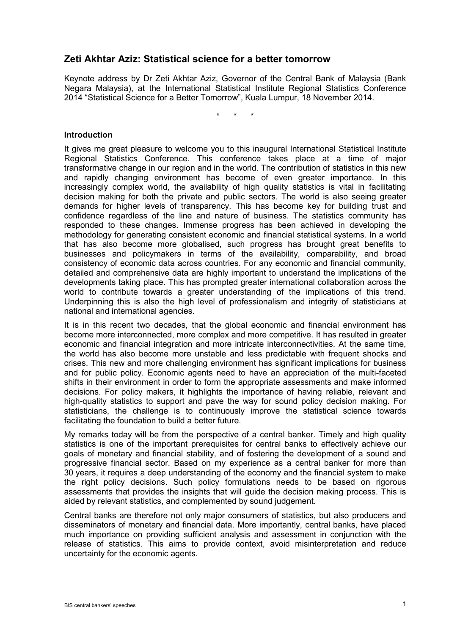# **Zeti Akhtar Aziz: Statistical science for a better tomorrow**

Keynote address by Dr Zeti Akhtar Aziz, Governor of the Central Bank of Malaysia (Bank Negara Malaysia), at the International Statistical Institute Regional Statistics Conference 2014 "Statistical Science for a Better Tomorrow", Kuala Lumpur, 18 November 2014.

\* \* \*

### **Introduction**

It gives me great pleasure to welcome you to this inaugural International Statistical Institute Regional Statistics Conference. This conference takes place at a time of major transformative change in our region and in the world. The contribution of statistics in this new and rapidly changing environment has become of even greater importance. In this increasingly complex world, the availability of high quality statistics is vital in facilitating decision making for both the private and public sectors. The world is also seeing greater demands for higher levels of transparency. This has become key for building trust and confidence regardless of the line and nature of business. The statistics community has responded to these changes. Immense progress has been achieved in developing the methodology for generating consistent economic and financial statistical systems. In a world that has also become more globalised, such progress has brought great benefits to businesses and policymakers in terms of the availability, comparability, and broad consistency of economic data across countries. For any economic and financial community, detailed and comprehensive data are highly important to understand the implications of the developments taking place. This has prompted greater international collaboration across the world to contribute towards a greater understanding of the implications of this trend. Underpinning this is also the high level of professionalism and integrity of statisticians at national and international agencies.

It is in this recent two decades, that the global economic and financial environment has become more interconnected, more complex and more competitive. It has resulted in greater economic and financial integration and more intricate interconnectivities. At the same time, the world has also become more unstable and less predictable with frequent shocks and crises. This new and more challenging environment has significant implications for business and for public policy. Economic agents need to have an appreciation of the multi-faceted shifts in their environment in order to form the appropriate assessments and make informed decisions. For policy makers, it highlights the importance of having reliable, relevant and high-quality statistics to support and pave the way for sound policy decision making. For statisticians, the challenge is to continuously improve the statistical science towards facilitating the foundation to build a better future.

My remarks today will be from the perspective of a central banker. Timely and high quality statistics is one of the important prerequisites for central banks to effectively achieve our goals of monetary and financial stability, and of fostering the development of a sound and progressive financial sector. Based on my experience as a central banker for more than 30 years, it requires a deep understanding of the economy and the financial system to make the right policy decisions. Such policy formulations needs to be based on rigorous assessments that provides the insights that will guide the decision making process. This is aided by relevant statistics, and complemented by sound judgement.

<span id="page-0-0"></span>Central banks are therefore not only major consumers of statistics, but also producers and disseminators of monetary and financial data. More importantly, central banks, have placed much importance on providing sufficient analysis and assessment in conjunction with the release of statistics. This aims to provide context, avoid misinterpretation and reduce uncertainty for the economic agents.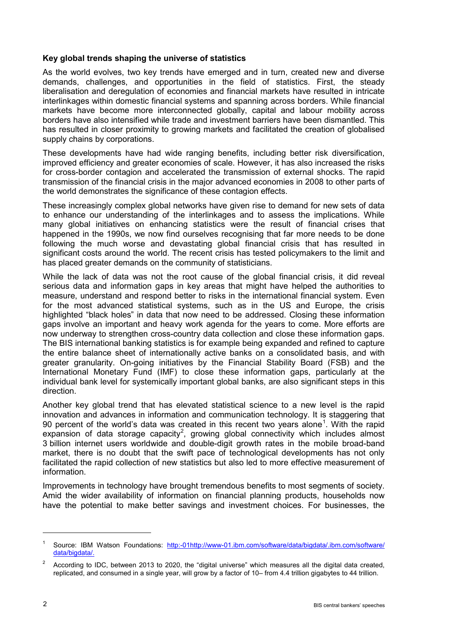# **Key global trends shaping the universe of statistics**

As the world evolves, two key trends have emerged and in turn, created new and diverse demands, challenges, and opportunities in the field of statistics. First, the steady liberalisation and deregulation of economies and financial markets have resulted in intricate interlinkages within domestic financial systems and spanning across borders. While financial markets have become more interconnected globally, capital and labour mobility across borders have also intensified while trade and investment barriers have been dismantled. This has resulted in closer proximity to growing markets and facilitated the creation of globalised supply chains by corporations.

These developments have had wide ranging benefits, including better risk diversification, improved efficiency and greater economies of scale. However, it has also increased the risks for cross-border contagion and accelerated the transmission of external shocks. The rapid transmission of the financial crisis in the major advanced economies in 2008 to other parts of the world demonstrates the significance of these contagion effects.

These increasingly complex global networks have given rise to demand for new sets of data to enhance our understanding of the interlinkages and to assess the implications. While many global initiatives on enhancing statistics were the result of financial crises that happened in the 1990s, we now find ourselves recognising that far more needs to be done following the much worse and devastating global financial crisis that has resulted in significant costs around the world. The recent crisis has tested policymakers to the limit and has placed greater demands on the community of statisticians.

While the lack of data was not the root cause of the global financial crisis, it did reveal serious data and information gaps in key areas that might have helped the authorities to measure, understand and respond better to risks in the international financial system. Even for the most advanced statistical systems, such as in the US and Europe, the crisis highlighted "black holes" in data that now need to be addressed. Closing these information gaps involve an important and heavy work agenda for the years to come. More efforts are now underway to strengthen cross-country data collection and close these information gaps. The BIS international banking statistics is for example being expanded and refined to capture the entire balance sheet of internationally active banks on a consolidated basis, and with greater granularity. On-going initiatives by the Financial Stability Board (FSB) and the International Monetary Fund (IMF) to close these information gaps, particularly at the individual bank level for systemically important global banks, are also significant steps in this direction.

Another key global trend that has elevated statistical science to a new level is the rapid innovation and advances in information and communication technology. It is staggering that 90 percent of the world's data was created in this recent two years alone<sup>[1](#page-0-0)</sup>. With the rapid expansion of data storage capacity<sup>[2](#page-1-0)</sup>, growing global connectivity which includes almost 3 billion internet users worldwide and double-digit growth rates in the mobile broad-band market, there is no doubt that the swift pace of technological developments has not only facilitated the rapid collection of new statistics but also led to more effective measurement of information.

Improvements in technology have brought tremendous benefits to most segments of society. Amid the wider availability of information on financial planning products, households now have the potential to make better savings and investment choices. For businesses, the

-

Source: IBM Watson Foundations: http:-0[1http://www-01.ibm.com/software/data/bigdata/.](http://www-01.ibm.com/software/data/bigdata/)ibm.com/software/ data/bigdata/.

<span id="page-1-0"></span><sup>2</sup> According to IDC, between 2013 to 2020, the "digital universe" which measures all the digital data created, replicated, and consumed in a single year, will grow by a factor of 10– from 4.4 trillion gigabytes to 44 trillion.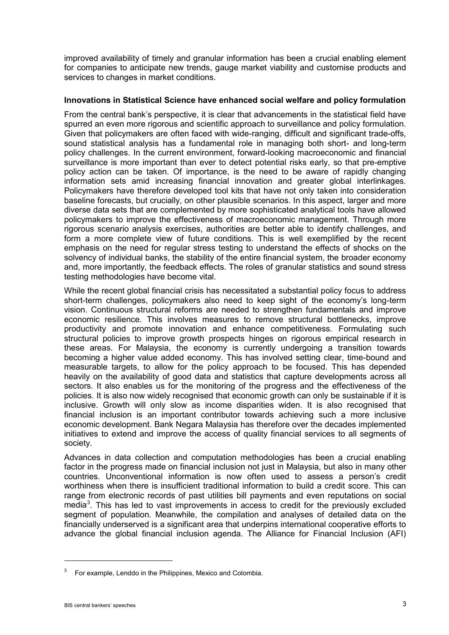improved availability of timely and granular information has been a crucial enabling element for companies to anticipate new trends, gauge market viability and customise products and services to changes in market conditions.

## **Innovations in Statistical Science have enhanced social welfare and policy formulation**

From the central bank's perspective, it is clear that advancements in the statistical field have spurred an even more rigorous and scientific approach to surveillance and policy formulation. Given that policymakers are often faced with wide-ranging, difficult and significant trade-offs, sound statistical analysis has a fundamental role in managing both short- and long-term policy challenges. In the current environment, forward-looking macroeconomic and financial surveillance is more important than ever to detect potential risks early, so that pre-emptive policy action can be taken. Of importance, is the need to be aware of rapidly changing information sets amid increasing financial innovation and greater global interlinkages. Policymakers have therefore developed tool kits that have not only taken into consideration baseline forecasts, but crucially, on other plausible scenarios. In this aspect, larger and more diverse data sets that are complemented by more sophisticated analytical tools have allowed policymakers to improve the effectiveness of macroeconomic management. Through more rigorous scenario analysis exercises, authorities are better able to identify challenges, and form a more complete view of future conditions. This is well exemplified by the recent emphasis on the need for regular stress testing to understand the effects of shocks on the solvency of individual banks, the stability of the entire financial system, the broader economy and, more importantly, the feedback effects. The roles of granular statistics and sound stress testing methodologies have become vital.

While the recent global financial crisis has necessitated a substantial policy focus to address short-term challenges, policymakers also need to keep sight of the economy's long-term vision. Continuous structural reforms are needed to strengthen fundamentals and improve economic resilience. This involves measures to remove structural bottlenecks, improve productivity and promote innovation and enhance competitiveness. Formulating such structural policies to improve growth prospects hinges on rigorous empirical research in these areas. For Malaysia, the economy is currently undergoing a transition towards becoming a higher value added economy. This has involved setting clear, time-bound and measurable targets, to allow for the policy approach to be focused. This has depended heavily on the availability of good data and statistics that capture developments across all sectors. It also enables us for the monitoring of the progress and the effectiveness of the policies. It is also now widely recognised that economic growth can only be sustainable if it is inclusive. Growth will only slow as income disparities widen. It is also recognised that financial inclusion is an important contributor towards achieving such a more inclusive economic development. Bank Negara Malaysia has therefore over the decades implemented initiatives to extend and improve the access of quality financial services to all segments of society.

Advances in data collection and computation methodologies has been a crucial enabling factor in the progress made on financial inclusion not just in Malaysia, but also in many other countries. Unconventional information is now often used to assess a person's credit worthiness when there is insufficient traditional information to build a credit score. This can range from electronic records of past utilities bill payments and even reputations on social media<sup>[3](#page-2-0)</sup>. This has led to vast improvements in access to credit for the previously excluded segment of population. Meanwhile, the compilation and analyses of detailed data on the financially underserved is a significant area that underpins international cooperative efforts to advance the global financial inclusion agenda. The Alliance for Financial Inclusion (AFI)

-

<span id="page-2-0"></span>For example, Lenddo in the Philippines, Mexico and Colombia.